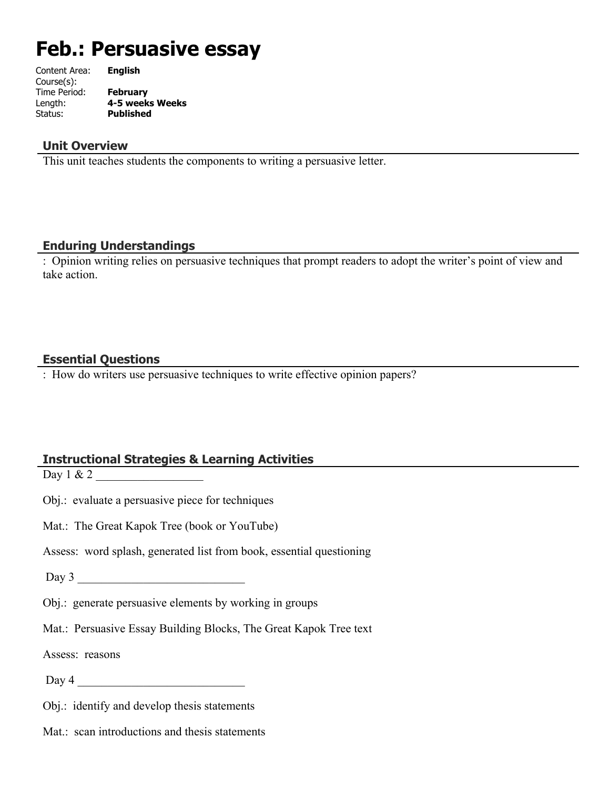# **Feb.: Persuasive essay**

| Content Area: | <b>English</b>   |
|---------------|------------------|
| Course(s):    |                  |
| Time Period:  | <b>February</b>  |
| Length:       | 4-5 weeks Weeks  |
| Status:       | <b>Published</b> |
|               |                  |

#### **Unit Overview**

This unit teaches students the components to writing a persuasive letter.

#### **Enduring Understandings**

: Opinion writing relies on persuasive techniques that prompt readers to adopt the writer's point of view and take action.

#### **Essential Questions**

: How do writers use persuasive techniques to write effective opinion papers?

# **Instructional Strategies & Learning Activities**

Day 1 & 2

Obj.: evaluate a persuasive piece for techniques

Mat.: The Great Kapok Tree (book or YouTube)

Assess: word splash, generated list from book, essential questioning

 $Day 3$ 

Obj.: generate persuasive elements by working in groups

Mat.: Persuasive Essay Building Blocks, The Great Kapok Tree text

Assess: reasons

Day 4 \_\_\_\_\_\_\_\_\_\_\_\_\_\_\_\_\_\_\_\_\_\_\_\_\_\_\_\_

Obj.: identify and develop thesis statements

Mat.: scan introductions and thesis statements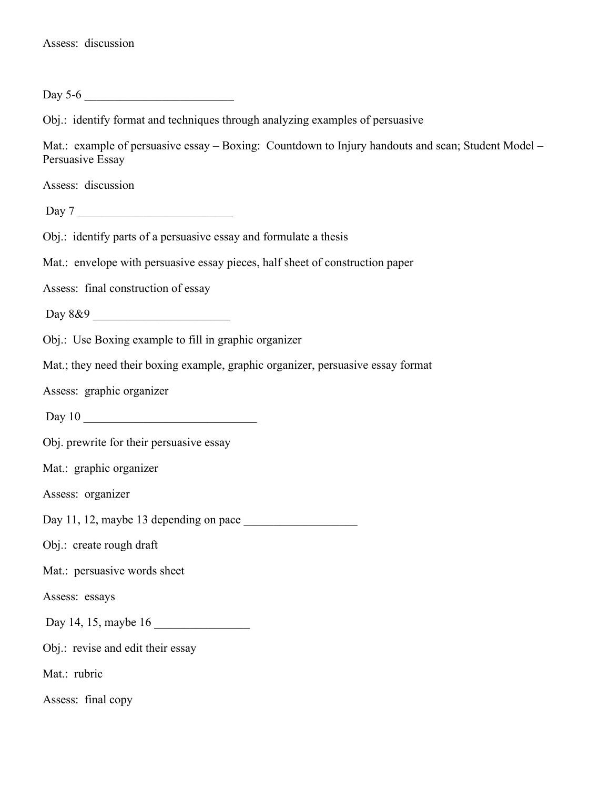Day  $5-6$ 

Obj.: identify format and techniques through analyzing examples of persuasive

Mat.: example of persuasive essay – Boxing: Countdown to Injury handouts and scan; Student Model – Persuasive Essay

Assess: discussion

Day 7 \_\_\_\_\_\_\_\_\_\_\_\_\_\_\_\_\_\_\_\_\_\_\_\_\_\_

Obj.: identify parts of a persuasive essay and formulate a thesis

Mat.: envelope with persuasive essay pieces, half sheet of construction paper

Assess: final construction of essay

Day  $8\&9$ 

Obj.: Use Boxing example to fill in graphic organizer

Mat.; they need their boxing example, graphic organizer, persuasive essay format

Assess: graphic organizer

Day 10 \_\_\_\_\_\_\_\_\_\_\_\_\_\_\_\_\_\_\_\_\_\_\_\_\_\_\_\_\_

Obj. prewrite for their persuasive essay

Mat.: graphic organizer

Assess: organizer

Day 11, 12, maybe 13 depending on pace

Obj.: create rough draft

Mat.: persuasive words sheet

Assess: essays

Day 14, 15, maybe 16 \_\_\_\_\_\_\_\_\_\_\_\_\_\_\_\_

Obj.: revise and edit their essay

Mat.: rubric

Assess: final copy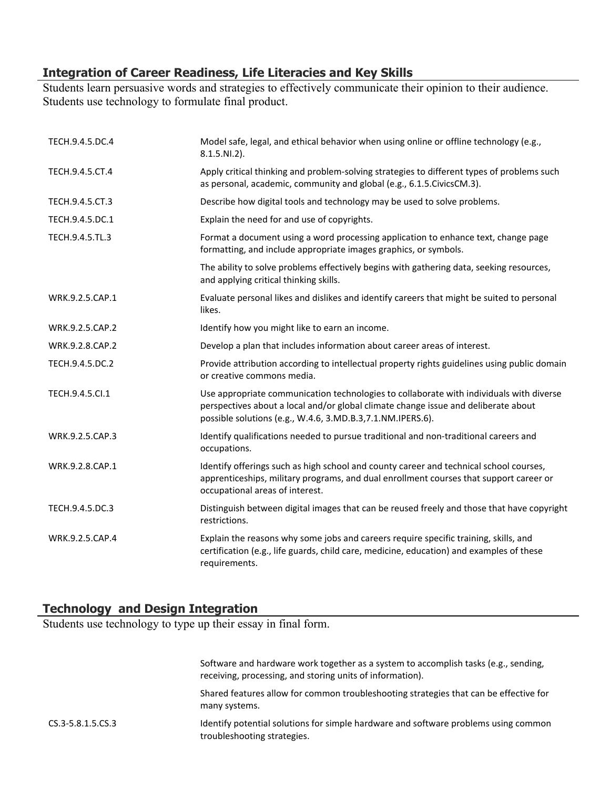# **Integration of Career Readiness, Life Literacies and Key Skills**

Students learn persuasive words and strategies to effectively communicate their opinion to their audience. Students use technology to formulate final product.

| TECH.9.4.5.DC.4 | Model safe, legal, and ethical behavior when using online or offline technology (e.g.,<br>$8.1.5.NI.2$ ).                                                                                                                                    |
|-----------------|----------------------------------------------------------------------------------------------------------------------------------------------------------------------------------------------------------------------------------------------|
| TECH.9.4.5.CT.4 | Apply critical thinking and problem-solving strategies to different types of problems such<br>as personal, academic, community and global (e.g., 6.1.5. Civics CM.3).                                                                        |
| TECH.9.4.5.CT.3 | Describe how digital tools and technology may be used to solve problems.                                                                                                                                                                     |
| TECH.9.4.5.DC.1 | Explain the need for and use of copyrights.                                                                                                                                                                                                  |
| TECH.9.4.5.TL.3 | Format a document using a word processing application to enhance text, change page<br>formatting, and include appropriate images graphics, or symbols.                                                                                       |
|                 | The ability to solve problems effectively begins with gathering data, seeking resources,<br>and applying critical thinking skills.                                                                                                           |
| WRK.9.2.5.CAP.1 | Evaluate personal likes and dislikes and identify careers that might be suited to personal<br>likes.                                                                                                                                         |
| WRK.9.2.5.CAP.2 | Identify how you might like to earn an income.                                                                                                                                                                                               |
| WRK.9.2.8.CAP.2 | Develop a plan that includes information about career areas of interest.                                                                                                                                                                     |
| TECH.9.4.5.DC.2 | Provide attribution according to intellectual property rights guidelines using public domain<br>or creative commons media.                                                                                                                   |
| TECH.9.4.5.Cl.1 | Use appropriate communication technologies to collaborate with individuals with diverse<br>perspectives about a local and/or global climate change issue and deliberate about<br>possible solutions (e.g., W.4.6, 3.MD.B.3, 7.1.NM.IPERS.6). |
| WRK.9.2.5.CAP.3 | Identify qualifications needed to pursue traditional and non-traditional careers and<br>occupations.                                                                                                                                         |
| WRK.9.2.8.CAP.1 | Identify offerings such as high school and county career and technical school courses,<br>apprenticeships, military programs, and dual enrollment courses that support career or<br>occupational areas of interest.                          |
| TECH.9.4.5.DC.3 | Distinguish between digital images that can be reused freely and those that have copyright<br>restrictions.                                                                                                                                  |
| WRK.9.2.5.CAP.4 | Explain the reasons why some jobs and careers require specific training, skills, and<br>certification (e.g., life guards, child care, medicine, education) and examples of these<br>requirements.                                            |

# **Technology and Design Integration**

Students use technology to type up their essay in final form.

|                   | Software and hardware work together as a system to accomplish tasks (e.g., sending,<br>receiving, processing, and storing units of information). |
|-------------------|--------------------------------------------------------------------------------------------------------------------------------------------------|
|                   | Shared features allow for common troubleshooting strategies that can be effective for<br>many systems.                                           |
| CS.3-5.8.1.5.CS.3 | Identify potential solutions for simple hardware and software problems using common<br>troubleshooting strategies.                               |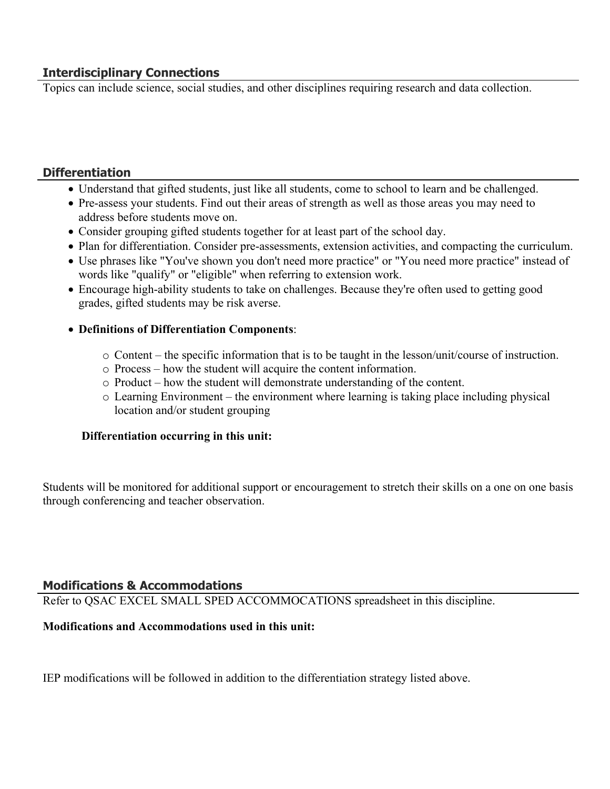# **Interdisciplinary Connections**

Topics can include science, social studies, and other disciplines requiring research and data collection.

# **Differentiation**

- Understand that gifted students, just like all students, come to school to learn and be challenged.
- Pre-assess your students. Find out their areas of strength as well as those areas you may need to address before students move on.
- Consider grouping gifted students together for at least part of the school day.
- Plan for differentiation. Consider pre-assessments, extension activities, and compacting the curriculum.
- Use phrases like "You've shown you don't need more practice" or "You need more practice" instead of words like "qualify" or "eligible" when referring to extension work.
- Encourage high-ability students to take on challenges. Because they're often used to getting good grades, gifted students may be risk averse.
- **Definitions of Differentiation Components**:
	- o Content the specific information that is to be taught in the lesson/unit/course of instruction.
	- o Process how the student will acquire the content information.
	- o Product how the student will demonstrate understanding of the content.
	- o Learning Environment the environment where learning is taking place including physical location and/or student grouping

#### **Differentiation occurring in this unit:**

Students will be monitored for additional support or encouragement to stretch their skills on a one on one basis through conferencing and teacher observation.

# **Modifications & Accommodations**

Refer to QSAC EXCEL SMALL SPED ACCOMMOCATIONS spreadsheet in this discipline.

#### **Modifications and Accommodations used in this unit:**

IEP modifications will be followed in addition to the differentiation strategy listed above.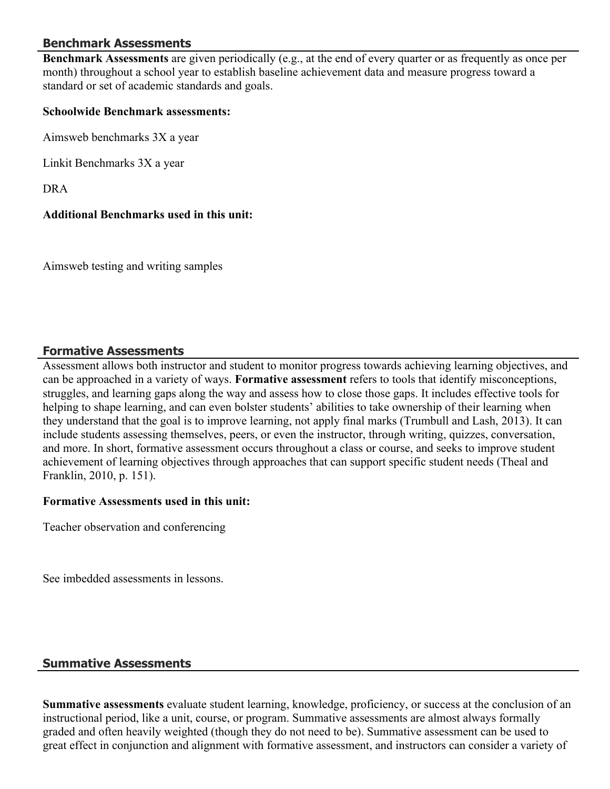#### **Benchmark Assessments**

**Benchmark Assessments** are given periodically (e.g., at the end of every quarter or as frequently as once per month) throughout a school year to establish baseline achievement data and measure progress toward a standard or set of academic standards and goals.

#### **Schoolwide Benchmark assessments:**

Aimsweb benchmarks 3X a year

Linkit Benchmarks 3X a year

DRA

#### **Additional Benchmarks used in this unit:**

Aimsweb testing and writing samples

#### **Formative Assessments**

Assessment allows both instructor and student to monitor progress towards achieving learning objectives, and can be approached in a variety of ways. **Formative assessment** refers to tools that identify misconceptions, struggles, and learning gaps along the way and assess how to close those gaps. It includes effective tools for helping to shape learning, and can even bolster students' abilities to take ownership of their learning when they understand that the goal is to improve learning, not apply final marks (Trumbull and Lash, 2013). It can include students assessing themselves, peers, or even the instructor, through writing, quizzes, conversation, and more. In short, formative assessment occurs throughout a class or course, and seeks to improve student achievement of learning objectives through approaches that can support specific student needs (Theal and Franklin, 2010, p. 151).

#### **Formative Assessments used in this unit:**

Teacher observation and conferencing

See imbedded assessments in lessons.

#### **Summative Assessments**

**Summative assessments** evaluate student learning, knowledge, proficiency, or success at the conclusion of an instructional period, like a unit, course, or program. Summative assessments are almost always formally graded and often heavily weighted (though they do not need to be). Summative assessment can be used to great effect in conjunction and alignment with formative assessment, and instructors can consider a variety of